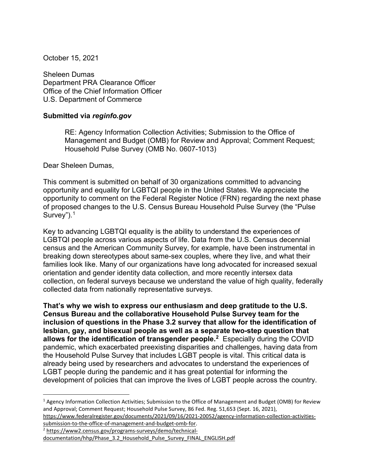October 15, 2021

Sheleen Dumas Department PRA Clearance Officer Office of the Chief Information Officer U.S. Department of Commerce

## **Submitted via** *reginfo.gov*

RE: Agency Information Collection Activities; Submission to the Office of Management and Budget (OMB) for Review and Approval; Comment Request; Household Pulse Survey (OMB No. 0607-1013)

Dear Sheleen Dumas,

This comment is submitted on behalf of 30 organizations committed to advancing opportunity and equality for LGBTQI people in the United States. We appreciate the opportunity to comment on the Federal Register Notice (FRN) regarding the next phase of proposed changes to the U.S. Census Bureau Household Pulse Survey (the "Pulse Survey").<sup>[1](#page-0-0)</sup>

Key to advancing LGBTQI equality is the ability to understand the experiences of LGBTQI people across various aspects of life. Data from the U.S. Census decennial census and the American Community Survey, for example, have been instrumental in breaking down stereotypes about same-sex couples, where they live, and what their families look like. Many of our organizations have long advocated for increased sexual orientation and gender identity data collection, and more recently intersex data collection, on federal surveys because we understand the value of high quality, federally collected data from nationally representative surveys.

**That's why we wish to express our enthusiasm and deep gratitude to the U.S. Census Bureau and the collaborative Household Pulse Survey team for the inclusion of questions in the Phase 3.2 survey that allow for the identification of lesbian, gay, and bisexual people as well as a separate two-step question that allows for the identification of transgender people[.2](#page-0-1)** Especially during the COVID pandemic, which exacerbated preexisting disparities and challenges, having data from the Household Pulse Survey that includes LGBT people is vital. This critical data is already being used by researchers and advocates to understand the experiences of LGBT people during the pandemic and it has great potential for informing the development of policies that can improve the lives of LGBT people across the country.

[submission-to-the-office-of-management-and-budget-omb-for.](https://www.federalregister.gov/documents/2021/09/16/2021-20052/agency-information-collection-activities-submission-to-the-office-of-management-and-budget-omb-for)

<span id="page-0-0"></span><sup>&</sup>lt;sup>1</sup> Agency Information Collection Activities; Submission to the Office of Management and Budget (OMB) for Review and Approval; Comment Request; Household Pulse Survey, 86 Fed. Reg. 51,653 (Sept. 16, 2021), [https://www.federalregister.gov/documents/2021/09/16/2021-20052/agency-information-collection-activities-](https://www.federalregister.gov/documents/2021/09/16/2021-20052/agency-information-collection-activities-submission-to-the-office-of-management-and-budget-omb-for)

<span id="page-0-1"></span><sup>2</sup> [https://www2.census.gov/programs-surveys/demo/technical-](https://www2.census.gov/programs-surveys/demo/technical-documentation/hhp/Phase_3.2_Household_Pulse_Survey_FINAL_ENGLISH.pdf)

[documentation/hhp/Phase\\_3.2\\_Household\\_Pulse\\_Survey\\_FINAL\\_ENGLISH.pdf](https://www2.census.gov/programs-surveys/demo/technical-documentation/hhp/Phase_3.2_Household_Pulse_Survey_FINAL_ENGLISH.pdf)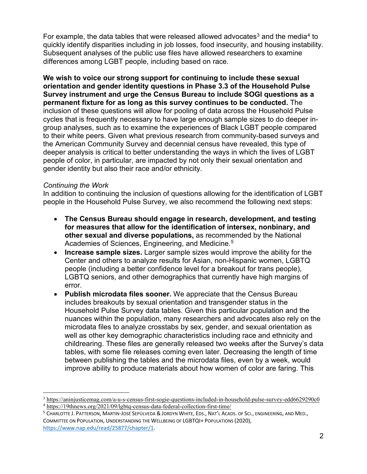For example, the data tables that were released allowed advocates<sup>[3](#page-1-0)</sup> and the media<sup>[4](#page-1-1)</sup> to quickly identify disparities including in job losses, food insecurity, and housing instability. Subsequent analyses of the public use files have allowed researchers to examine differences among LGBT people, including based on race.

**We wish to voice our strong support for continuing to include these sexual orientation and gender identity questions in Phase 3.3 of the Household Pulse Survey instrument and urge the Census Bureau to include SOGI questions as a permanent fixture for as long as this survey continues to be conducted.** The inclusion of these questions will allow for pooling of data across the Household Pulse cycles that is frequently necessary to have large enough sample sizes to do deeper ingroup analyses, such as to examine the experiences of Black LGBT people compared to their white peers. Given what previous research from community-based surveys and the American Community Survey and decennial census have revealed, this type of deeper analysis is critical to better understanding the ways in which the lives of LGBT people of color, in particular, are impacted by not only their sexual orientation and gender identity but also their race and/or ethnicity.

## *Continuing the Work*

In addition to continuing the inclusion of questions allowing for the identification of LGBT people in the Household Pulse Survey, we also recommend the following next steps:

- **The Census Bureau should engage in research, development, and testing for measures that allow for the identification of intersex, nonbinary, and other sexual and diverse populations,** as recommended by the National Academies of Sciences, Engineering, and Medicine.<sup>[5](#page-1-2)</sup>
- **Increase sample sizes.** Larger sample sizes would improve the ability for the Center and others to analyze results for Asian, non-Hispanic women, LGBTQ people (including a better confidence level for a breakout for trans people), LGBTQ seniors, and other demographics that currently have high margins of error.
- **Publish microdata files sooner.** We appreciate that the Census Bureau includes breakouts by sexual orientation and transgender status in the Household Pulse Survey data tables. Given this particular population and the nuances within the population, many researchers and advocates also rely on the microdata files to analyze crosstabs by sex, gender, and sexual orientation as well as other key demographic characteristics including race and ethnicity and childrearing. These files are generally released two weeks after the Survey's data tables, with some file releases coming even later. Decreasing the length of time between publishing the tables and the microdata files, even by a week, would improve ability to produce materials about how women of color are faring. This

<span id="page-1-1"></span><span id="page-1-0"></span><sup>3</sup> <https://aninjusticemag.com/a-u-s-census-first-sogie-questions-included-in-household-pulse-survey-edd6629290c0> <sup>4</sup> <https://19thnews.org/2021/09/lgbtq-census-data-federal-collection-first-time/>

<span id="page-1-2"></span><sup>&</sup>lt;sup>5</sup> CHARLOTTE J. PATTERSON, MARTIN-JOSÉ SEPÚLVEDA & JORDYN WHITE, EDS., NAT'L ACADS. OF SCI., ENGINEERING, AND MED., COMMITTEE ON POPULATION, UNDERSTANDING THE WELLBEING OF LGBTQI+ POPULATIONS (2020), [https://www.nap.edu/read/25877/chapter/1.](https://www.nap.edu/read/25877/chapter/1)